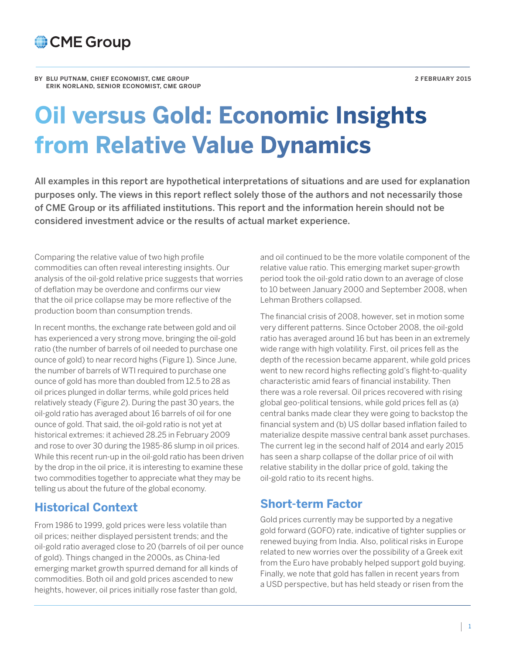

**BY BLU PUTNAM, CHIEF ECONOMIST, CME GROUP 2 FEBRUARY 2015 ERIK NORLAND, SENIOR ECONOMIST, CME GROUP** 

# **Oil versus Gold: Economic Insights from Relative Value Dynamics**

All examples in this report are hypothetical interpretations of situations and are used for explanation purposes only. The views in this report reflect solely those of the authors and not necessarily those of CME Group or its affiliated institutions. This report and the information herein should not be considered investment advice or the results of actual market experience.

Comparing the relative value of two high profile commodities can often reveal interesting insights. Our analysis of the oil-gold relative price suggests that worries of deflation may be overdone and confirms our view that the oil price collapse may be more reflective of the production boom than consumption trends.

In recent months, the exchange rate between gold and oil has experienced a very strong move, bringing the oil-gold ratio (the number of barrels of oil needed to purchase one ounce of gold) to near record highs (Figure 1). Since June, the number of barrels of WTI required to purchase one ounce of gold has more than doubled from 12.5 to 28 as oil prices plunged in dollar terms, while gold prices held relatively steady (Figure 2). During the past 30 years, the oil-gold ratio has averaged about 16 barrels of oil for one ounce of gold. That said, the oil-gold ratio is not yet at historical extremes: it achieved 28.25 in February 2009 and rose to over 30 during the 1985-86 slump in oil prices. While this recent run-up in the oil-gold ratio has been driven by the drop in the oil price, it is interesting to examine these two commodities together to appreciate what they may be telling us about the future of the global economy.

## **Historical Context**

From 1986 to 1999, gold prices were less volatile than oil prices; neither displayed persistent trends; and the oil-gold ratio averaged close to 20 (barrels of oil per ounce of gold). Things changed in the 2000s, as China-led emerging market growth spurred demand for all kinds of commodities. Both oil and gold prices ascended to new heights, however, oil prices initially rose faster than gold,

and oil continued to be the more volatile component of the relative value ratio. This emerging market super-growth period took the oil-gold ratio down to an average of close to 10 between January 2000 and September 2008, when Lehman Brothers collapsed.

The financial crisis of 2008, however, set in motion some very different patterns. Since October 2008, the oil-gold ratio has averaged around 16 but has been in an extremely wide range with high volatility. First, oil prices fell as the depth of the recession became apparent, while gold prices went to new record highs reflecting gold's flight-to-quality characteristic amid fears of financial instability. Then there was a role reversal. Oil prices recovered with rising global geo-political tensions, while gold prices fell as (a) central banks made clear they were going to backstop the financial system and (b) US dollar based inflation failed to materialize despite massive central bank asset purchases. The current leg in the second half of 2014 and early 2015 has seen a sharp collapse of the dollar price of oil with relative stability in the dollar price of gold, taking the oil-gold ratio to its recent highs.

## **Short-term Factor**

Gold prices currently may be supported by a negative gold forward (GOFO) rate, indicative of tighter supplies or renewed buying from India. Also, political risks in Europe related to new worries over the possibility of a Greek exit from the Euro have probably helped support gold buying. Finally, we note that gold has fallen in recent years from a USD perspective, but has held steady or risen from the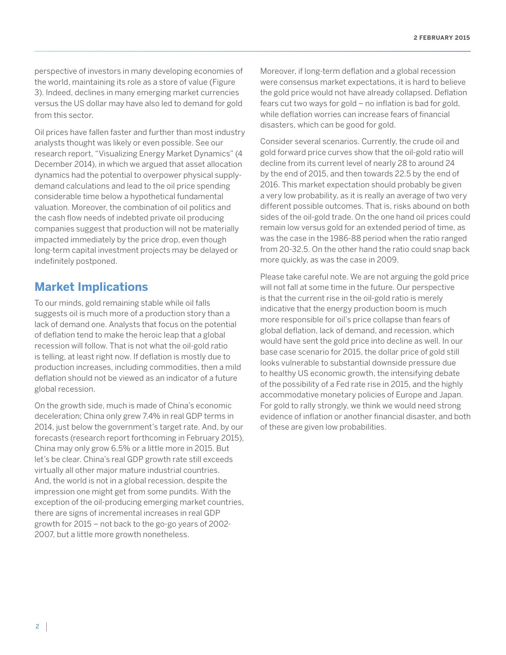perspective of investors in many developing economies of the world, maintaining its role as a store of value (Figure 3). Indeed, declines in many emerging market currencies versus the US dollar may have also led to demand for gold from this sector.

Oil prices have fallen faster and further than most industry analysts thought was likely or even possible. See our research report, "Visualizing Energy Market Dynamics" (4 December 2014), in which we argued that asset allocation dynamics had the potential to overpower physical supplydemand calculations and lead to the oil price spending considerable time below a hypothetical fundamental valuation. Moreover, the combination of oil politics and the cash flow needs of indebted private oil producing companies suggest that production will not be materially impacted immediately by the price drop, even though long-term capital investment projects may be delayed or indefinitely postponed.

## **Market Implications**

To our minds, gold remaining stable while oil falls suggests oil is much more of a production story than a lack of demand one. Analysts that focus on the potential of deflation tend to make the heroic leap that a global recession will follow. That is not what the oil-gold ratio is telling, at least right now. If deflation is mostly due to production increases, including commodities, then a mild deflation should not be viewed as an indicator of a future global recession.

On the growth side, much is made of China's economic deceleration; China only grew 7.4% in real GDP terms in 2014, just below the government's target rate. And, by our forecasts (research report forthcoming in February 2015), China may only grow 6.5% or a little more in 2015. But let's be clear. China's real GDP growth rate still exceeds virtually all other major mature industrial countries. And, the world is not in a global recession, despite the impression one might get from some pundits. With the exception of the oil-producing emerging market countries, there are signs of incremental increases in real GDP growth for 2015 – not back to the go-go years of 2002- 2007, but a little more growth nonetheless.

Moreover, if long-term deflation and a global recession were consensus market expectations, it is hard to believe the gold price would not have already collapsed. Deflation fears cut two ways for gold – no inflation is bad for gold, while deflation worries can increase fears of financial disasters, which can be good for gold.

Consider several scenarios. Currently, the crude oil and gold forward price curves show that the oil-gold ratio will decline from its current level of nearly 28 to around 24 by the end of 2015, and then towards 22.5 by the end of 2016. This market expectation should probably be given a very low probability, as it is really an average of two very different possible outcomes. That is, risks abound on both sides of the oil-gold trade. On the one hand oil prices could remain low versus gold for an extended period of time, as was the case in the 1986-88 period when the ratio ranged from 20-32.5. On the other hand the ratio could snap back more quickly, as was the case in 2009.

Please take careful note. We are not arguing the gold price will not fall at some time in the future. Our perspective is that the current rise in the oil-gold ratio is merely indicative that the energy production boom is much more responsible for oil's price collapse than fears of global deflation, lack of demand, and recession, which would have sent the gold price into decline as well. In our base case scenario for 2015, the dollar price of gold still looks vulnerable to substantial downside pressure due to healthy US economic growth, the intensifying debate of the possibility of a Fed rate rise in 2015, and the highly accommodative monetary policies of Europe and Japan. For gold to rally strongly, we think we would need strong evidence of inflation or another financial disaster, and both of these are given low probabilities.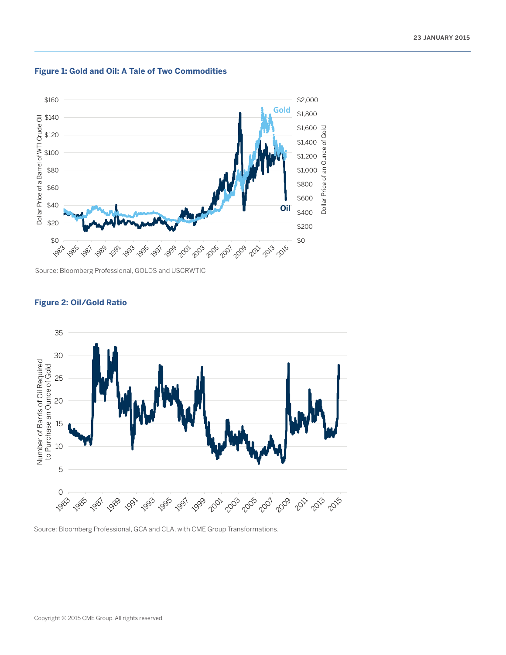

#### **Figure 1: Gold and Oil: A Tale of Two Commodities**

Source: Bloomberg Professional, GOLDS and USCRWTIC



#### **Figure 2: Oil/Gold Ratio**

Source: Bloomberg Professional, GCA and CLA, with CME Group Transformations.